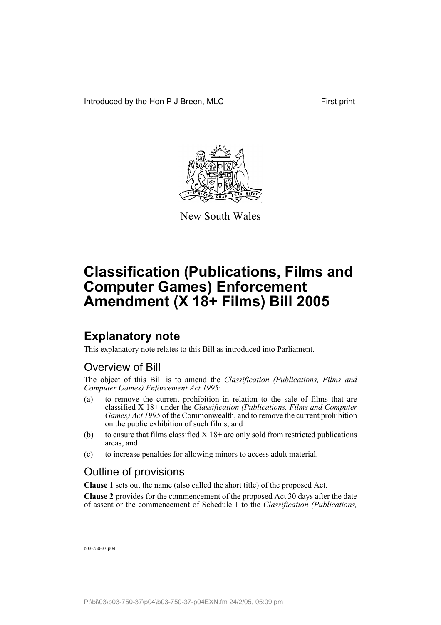Introduced by the Hon P J Breen, MLC First print



New South Wales

# **Classification (Publications, Films and Computer Games) Enforcement Amendment (X 18+ Films) Bill 2005**

## **Explanatory note**

This explanatory note relates to this Bill as introduced into Parliament.

### Overview of Bill

The object of this Bill is to amend the *Classification (Publications, Films and Computer Games) Enforcement Act 1995*:

- (a) to remove the current prohibition in relation to the sale of films that are classified X 18+ under the *Classification (Publications, Films and Computer Games) Act 1995* of the Commonwealth, and to remove the current prohibition on the public exhibition of such films, and
- (b) to ensure that films classified  $X$  18+ are only sold from restricted publications areas, and
- (c) to increase penalties for allowing minors to access adult material.

## Outline of provisions

**Clause 1** sets out the name (also called the short title) of the proposed Act.

**Clause 2** provides for the commencement of the proposed Act 30 days after the date of assent or the commencement of Schedule 1 to the *Classification (Publications,*

b03-750-37.p04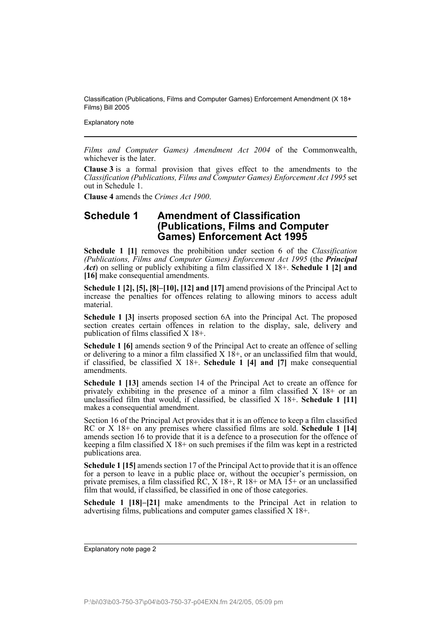Explanatory note

*Films and Computer Games) Amendment Act 2004* of the Commonwealth, whichever is the later.

**Clause 3** is a formal provision that gives effect to the amendments to the *Classification (Publications, Films and Computer Games) Enforcement Act 1995* set out in Schedule 1.

**Clause 4** amends the *Crimes Act 1900*.

#### **Schedule 1 Amendment of Classification (Publications, Films and Computer Games) Enforcement Act 1995**

**Schedule 1 [1]** removes the prohibition under section 6 of the *Classification (Publications, Films and Computer Games) Enforcement Act 1995* (the *Principal Act*) on selling or publicly exhibiting a film classified X 18+. **Schedule 1 [2] and [16]** make consequential amendments.

**Schedule 1 [2], [5], [8]–[10], [12] and [17]** amend provisions of the Principal Act to increase the penalties for offences relating to allowing minors to access adult material.

**Schedule 1 [3]** inserts proposed section 6A into the Principal Act. The proposed section creates certain offences in relation to the display, sale, delivery and publication of films classified X 18+.

**Schedule 1 [6]** amends section 9 of the Principal Act to create an offence of selling or delivering to a minor a film classified  $X$  18+, or an unclassified film that would, if classified, be classified X 18+. **Schedule 1 [4] and [7]** make consequential amendments.

**Schedule 1 [13]** amends section 14 of the Principal Act to create an offence for privately exhibiting in the presence of a minor a film classified  $X$  18+ or an unclassified film that would, if classified, be classified X 18+. **Schedule 1 [11]** makes a consequential amendment.

Section 16 of the Principal Act provides that it is an offence to keep a film classified RC or X 18+ on any premises where classified films are sold. **Schedule 1 [14]** amends section 16 to provide that it is a defence to a prosecution for the offence of keeping a film classified X 18+ on such premises if the film was kept in a restricted publications area.

**Schedule 1 [15]** amends section 17 of the Principal Act to provide that it is an offence for a person to leave in a public place or, without the occupier's permission, on private premises, a film classified  $\overline{RC}$ ,  $X$  18+,  $R$  18+ or MA 15+ or an unclassified film that would, if classified, be classified in one of those categories.

**Schedule 1 [18]–[21]** make amendments to the Principal Act in relation to advertising films, publications and computer games classified X 18+.

Explanatory note page 2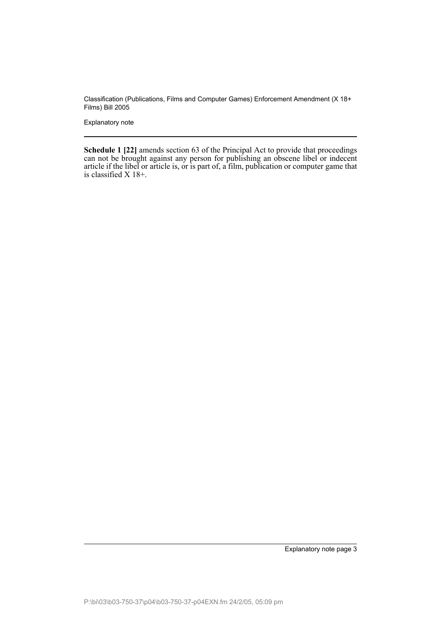Explanatory note

**Schedule 1 [22]** amends section 63 of the Principal Act to provide that proceedings can not be brought against any person for publishing an obscene libel or indecent article if the libel or article is, or is part of, a film, publication or computer game that is classified X 18+.

Explanatory note page 3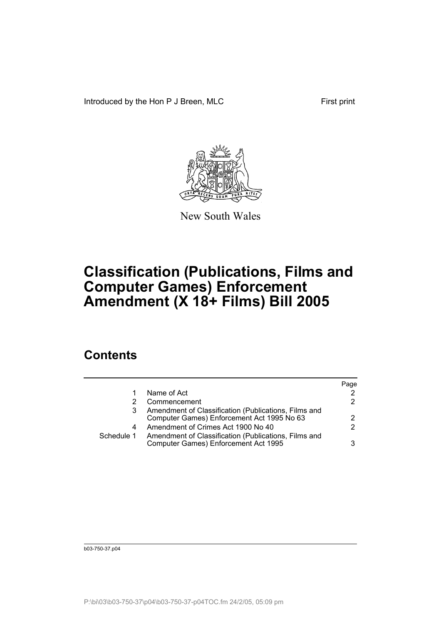Introduced by the Hon P J Breen, MLC First print



New South Wales

# **Classification (Publications, Films and Computer Games) Enforcement Amendment (X 18+ Films) Bill 2005**

## **Contents**

|            |                                                                                                    | Page |
|------------|----------------------------------------------------------------------------------------------------|------|
|            | Name of Act                                                                                        |      |
|            | Commencement                                                                                       | 2.   |
|            | Amendment of Classification (Publications, Films and<br>Computer Games) Enforcement Act 1995 No 63 | 2    |
| 4          | Amendment of Crimes Act 1900 No 40                                                                 | 2    |
| Schedule 1 | Amendment of Classification (Publications, Films and<br>Computer Games) Enforcement Act 1995       | 3    |
|            |                                                                                                    |      |

b03-750-37.p04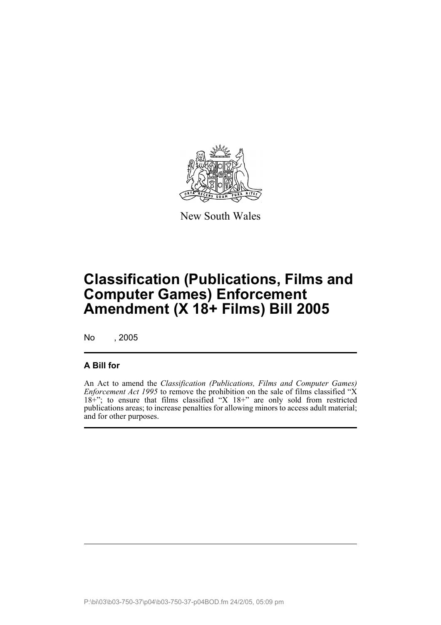

New South Wales

# **Classification (Publications, Films and Computer Games) Enforcement Amendment (X 18+ Films) Bill 2005**

No , 2005

#### **A Bill for**

An Act to amend the *Classification (Publications, Films and Computer Games) Enforcement Act 1995* to remove the prohibition on the sale of films classified "X 18+"; to ensure that films classified "X 18+" are only sold from restricted publications areas; to increase penalties for allowing minors to access adult material; and for other purposes.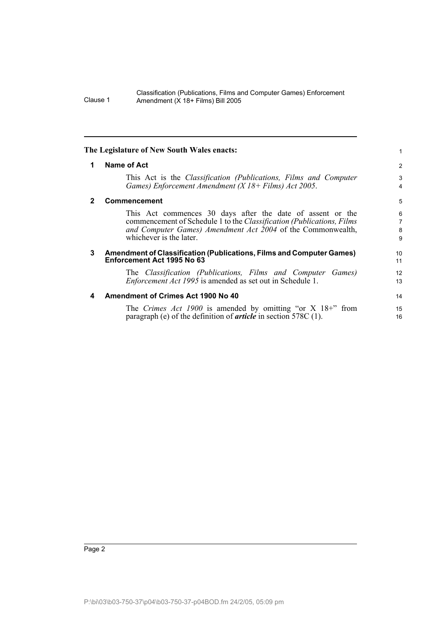<span id="page-5-3"></span><span id="page-5-2"></span><span id="page-5-1"></span><span id="page-5-0"></span>

| The Legislature of New South Wales enacts: |                                                                                                                                                                                                                               | 1                                   |
|--------------------------------------------|-------------------------------------------------------------------------------------------------------------------------------------------------------------------------------------------------------------------------------|-------------------------------------|
| 1                                          | <b>Name of Act</b>                                                                                                                                                                                                            | 2                                   |
|                                            | This Act is the <i>Classification (Publications, Films and Computer</i><br>Games) Enforcement Amendment ( $X$ 18+ Films) Act 2005.                                                                                            | 3<br>$\overline{4}$                 |
| 2                                          | Commencement                                                                                                                                                                                                                  | 5                                   |
|                                            | This Act commences 30 days after the date of assent or the<br>commencement of Schedule 1 to the Classification (Publications, Films<br>and Computer Games) Amendment Act 2004 of the Commonwealth,<br>whichever is the later. | $\,6\,$<br>$\overline{7}$<br>8<br>9 |
| 3                                          | Amendment of Classification (Publications, Films and Computer Games)<br>Enforcement Act 1995 No 63                                                                                                                            | 10<br>11                            |
|                                            | The Classification (Publications, Films and Computer Games)<br><i>Enforcement Act 1995</i> is amended as set out in Schedule 1.                                                                                               | 12<br>13                            |
| 4                                          | <b>Amendment of Crimes Act 1900 No 40</b>                                                                                                                                                                                     | 14                                  |
|                                            | The <i>Crimes Act 1900</i> is amended by omitting "or $X$ 18+" from<br>paragraph (e) of the definition of <i>article</i> in section 578C $(1)$ .                                                                              | 15<br>16                            |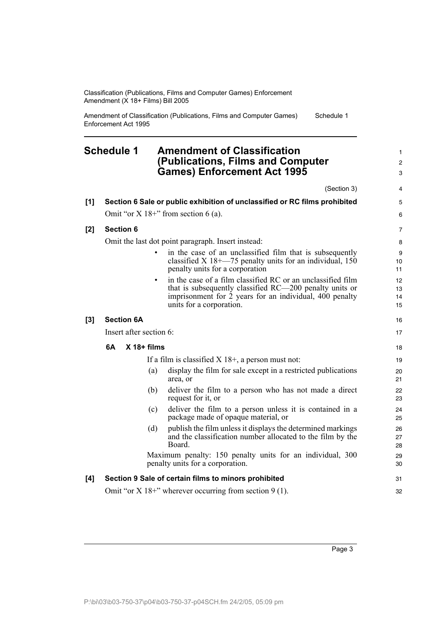Amendment of Classification (Publications, Films and Computer Games) Enforcement Act 1995 Schedule 1

#### <span id="page-6-0"></span>**Schedule 1 Amendment of Classification (Publications, Films and Computer Games) Enforcement Act 1995**

(Section 3) **[1] Section 6 Sale or public exhibition of unclassified or RC films prohibited** Omit "or  $X$  18+" from section 6 (a). **[2] Section 6** Omit the last dot point paragraph. Insert instead: in the case of an unclassified film that is subsequently classified  $X$  18+—75 penalty units for an individual, 150 penalty units for a corporation in the case of a film classified RC or an unclassified film that is subsequently classified RC—200 penalty units or imprisonment for  $\dot{2}$  years for an individual, 400 penalty units for a corporation. **[3] Section 6A** Insert after section 6: **6A X 18+ films** If a film is classified  $X$  18+, a person must not: (a) display the film for sale except in a restricted publications area, or (b) deliver the film to a person who has not made a direct request for it, or (c) deliver the film to a person unless it is contained in a package made of opaque material, or (d) publish the film unless it displays the determined markings and the classification number allocated to the film by the Board. Maximum penalty: 150 penalty units for an individual, 300 penalty units for a corporation. **[4] Section 9 Sale of certain films to minors prohibited** 3 4 5 6 7 8  $\alpha$ 10 11 12 13 14 15 16 17 18 19 20 21 22 23 24 25 26 27 28 29 30 31

Omit "or  $X$  18+" wherever occurring from section 9 (1).

32

1  $\mathfrak{p}$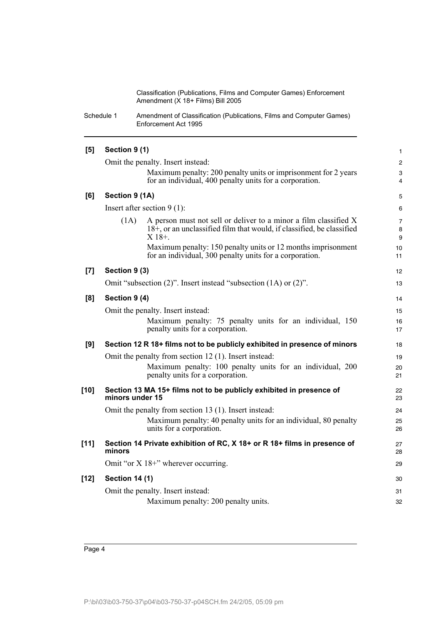Schedule 1 Amendment of Classification (Publications, Films and Computer Games) Enforcement Act 1995

| [5]    | Section 9 (1)         |                                                                                                                                                       | 1              |
|--------|-----------------------|-------------------------------------------------------------------------------------------------------------------------------------------------------|----------------|
|        |                       | Omit the penalty. Insert instead:                                                                                                                     | $\overline{c}$ |
|        |                       | Maximum penalty: 200 penalty units or imprisonment for 2 years<br>for an individual, 400 penalty units for a corporation.                             | 3<br>4         |
| [6]    | Section 9 (1A)        |                                                                                                                                                       | 5              |
|        |                       | Insert after section $9(1)$ :                                                                                                                         | 6              |
|        | (1A)                  | A person must not sell or deliver to a minor a film classified X<br>18+, or an unclassified film that would, if classified, be classified<br>$X$ 18+. | 7<br>8<br>9    |
|        |                       | Maximum penalty: 150 penalty units or 12 months imprisonment<br>for an individual, 300 penalty units for a corporation.                               | 10<br>11       |
| $[7]$  | Section 9 (3)         |                                                                                                                                                       | 12             |
|        |                       | Omit "subsection (2)". Insert instead "subsection (1A) or (2)".                                                                                       | 13             |
| [8]    | Section 9 (4)         |                                                                                                                                                       | 14             |
|        |                       | Omit the penalty. Insert instead:                                                                                                                     | 15             |
|        |                       | Maximum penalty: 75 penalty units for an individual, 150<br>penalty units for a corporation.                                                          | 16<br>17       |
| [9]    |                       | Section 12 R 18+ films not to be publicly exhibited in presence of minors                                                                             | 18             |
|        |                       | Omit the penalty from section 12 (1). Insert instead:                                                                                                 | 19             |
|        |                       | Maximum penalty: 100 penalty units for an individual, 200<br>penalty units for a corporation.                                                         | 20<br>21       |
| $[10]$ | minors under 15       | Section 13 MA 15+ films not to be publicly exhibited in presence of                                                                                   | 22<br>23       |
|        |                       | Omit the penalty from section 13 (1). Insert instead:                                                                                                 | 24             |
|        |                       | Maximum penalty: 40 penalty units for an individual, 80 penalty<br>units for a corporation.                                                           | 25<br>26       |
| $[11]$ | minors                | Section 14 Private exhibition of RC, X 18+ or R 18+ films in presence of                                                                              | 27<br>28       |
|        |                       | Omit "or $X$ 18+" wherever occurring.                                                                                                                 | 29             |
| $[12]$ | <b>Section 14 (1)</b> |                                                                                                                                                       | 30             |
|        |                       | Omit the penalty. Insert instead:                                                                                                                     | 31             |
|        |                       | Maximum penalty: 200 penalty units.                                                                                                                   | 32             |
|        |                       |                                                                                                                                                       |                |

Page 4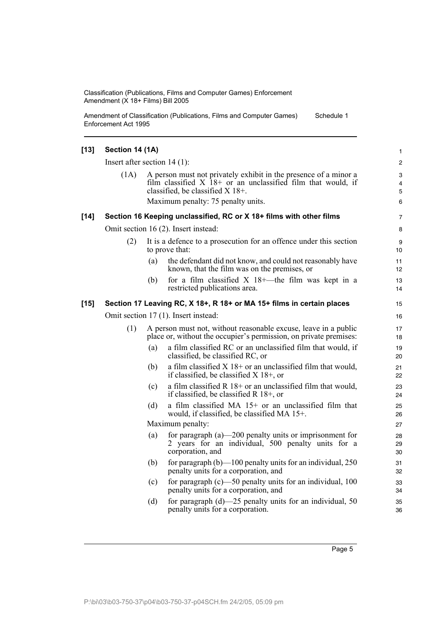Amendment of Classification (Publications, Films and Computer Games) Enforcement Act 1995 Schedule 1

| $[13]$ | Section 14 (1A)                |     |                                                                                                                                                                                                              | $\mathbf{1}$     |
|--------|--------------------------------|-----|--------------------------------------------------------------------------------------------------------------------------------------------------------------------------------------------------------------|------------------|
|        | Insert after section $14(1)$ : |     |                                                                                                                                                                                                              | 2                |
|        | (1A)                           |     | A person must not privately exhibit in the presence of a minor a<br>film classified $X$ 18+ or an unclassified film that would, if<br>classified, be classified X 18+.<br>Maximum penalty: 75 penalty units. | 3<br>4<br>5<br>6 |
|        |                                |     |                                                                                                                                                                                                              |                  |
| $[14]$ |                                |     | Section 16 Keeping unclassified, RC or X 18+ films with other films                                                                                                                                          | $\overline{7}$   |
|        |                                |     | Omit section 16 (2). Insert instead:                                                                                                                                                                         | 8                |
|        | (2)                            |     | It is a defence to a prosecution for an offence under this section<br>to prove that:                                                                                                                         | 9<br>10          |
|        |                                | (a) | the defendant did not know, and could not reasonably have<br>known, that the film was on the premises, or                                                                                                    | 11<br>12         |
|        |                                | (b) | for a film classified $X$ 18+—the film was kept in a<br>restricted publications area.                                                                                                                        | 13<br>14         |
| $[15]$ |                                |     | Section 17 Leaving RC, X 18+, R 18+ or MA 15+ films in certain places                                                                                                                                        | 15               |
|        |                                |     | Omit section 17 (1). Insert instead:                                                                                                                                                                         | 16               |
|        | (1)                            |     | A person must not, without reasonable excuse, leave in a public<br>place or, without the occupier's permission, on private premises:                                                                         | 17<br>18         |
|        |                                | (a) | a film classified RC or an unclassified film that would, if<br>classified, be classified RC, or                                                                                                              | 19<br>20         |
|        |                                | (b) | a film classified $X$ 18+ or an unclassified film that would,<br>if classified, be classified $X$ 18+, or                                                                                                    | 21<br>22         |
|        |                                | (c) | a film classified $R$ 18+ or an unclassified film that would,<br>if classified, be classified $R$ 18+, or                                                                                                    | 23<br>24         |
|        |                                | (d) | a film classified MA $15+$ or an unclassified film that<br>would, if classified, be classified MA 15+.                                                                                                       | 25<br>26         |
|        | Maximum penalty:               |     |                                                                                                                                                                                                              |                  |
|        |                                | (a) | for paragraph $(a)$ —200 penalty units or imprisonment for<br>2 years for an individual, 500 penalty units for a<br>corporation, and                                                                         | 28<br>29<br>30   |
|        |                                | (b) | for paragraph $(b)$ —100 penalty units for an individual, 250<br>penalty units for a corporation, and                                                                                                        | 31<br>32         |
|        |                                | (c) | for paragraph $(c)$ —50 penalty units for an individual, 100<br>penalty units for a corporation, and                                                                                                         | 33<br>34         |
|        |                                | (d) | for paragraph $(d)$ —25 penalty units for an individual, 50<br>penalty units for a corporation.                                                                                                              | 35<br>36         |
|        |                                |     |                                                                                                                                                                                                              |                  |

Page 5